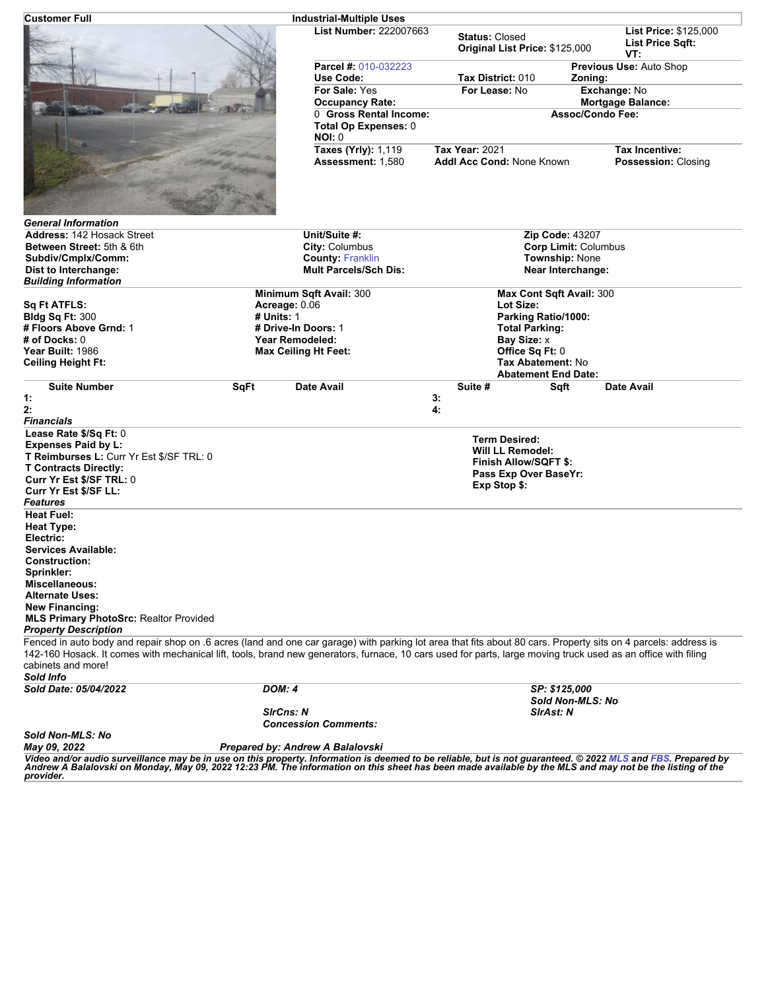| Customer Full                                                                                                                                                                                                                                                                                                                                                       |                                               | <b>Industrial-Multiple Uses</b>                         |                                                                                                                          |                                                  |
|---------------------------------------------------------------------------------------------------------------------------------------------------------------------------------------------------------------------------------------------------------------------------------------------------------------------------------------------------------------------|-----------------------------------------------|---------------------------------------------------------|--------------------------------------------------------------------------------------------------------------------------|--------------------------------------------------|
|                                                                                                                                                                                                                                                                                                                                                                     |                                               | <b>List Number: 222007663</b>                           | <b>Status: Closed</b><br>Original List Price: \$125,000                                                                  | List Price: \$125,000<br>List Price Sqft:<br>VT: |
|                                                                                                                                                                                                                                                                                                                                                                     |                                               | <b>Parcel #: 010-032223</b><br>Use Code:                | Tax District: 010                                                                                                        | Previous Use: Auto Shop<br>Zoning:               |
|                                                                                                                                                                                                                                                                                                                                                                     |                                               | For Sale: Yes                                           | For Lease: No                                                                                                            | Exchange: No                                     |
|                                                                                                                                                                                                                                                                                                                                                                     |                                               | <b>Occupancy Rate:</b>                                  | <b>Mortgage Balance:</b><br>0 Gross Rental Income:<br><b>Assoc/Condo Fee:</b>                                            |                                                  |
|                                                                                                                                                                                                                                                                                                                                                                     |                                               | Total Op Expenses: 0<br><b>NOI: 0</b>                   |                                                                                                                          |                                                  |
|                                                                                                                                                                                                                                                                                                                                                                     |                                               | <b>Taxes (Yrly): 1,119</b><br>Assessment: 1,580         | <b>Tax Year: 2021</b><br>Addl Acc Cond: None Known                                                                       | Tax Incentive:<br>Possession: Closing            |
| <b>General Information</b>                                                                                                                                                                                                                                                                                                                                          |                                               |                                                         |                                                                                                                          |                                                  |
| <b>Address: 142 Hosack Street</b>                                                                                                                                                                                                                                                                                                                                   |                                               | Unit/Suite #:                                           | <b>Zip Code: 43207</b>                                                                                                   |                                                  |
| Between Street: 5th & 6th                                                                                                                                                                                                                                                                                                                                           |                                               | City: Columbus                                          | <b>Corp Limit: Columbus</b>                                                                                              |                                                  |
| Subdiv/Cmplx/Comm:<br>Dist to Interchange:                                                                                                                                                                                                                                                                                                                          |                                               | <b>County: Franklin</b><br><b>Mult Parcels/Sch Dis:</b> | Township: None<br><b>Near Interchange:</b>                                                                               |                                                  |
| <b>Building Information</b>                                                                                                                                                                                                                                                                                                                                         |                                               |                                                         |                                                                                                                          |                                                  |
|                                                                                                                                                                                                                                                                                                                                                                     |                                               | Minimum Sqft Avail: 300                                 | Max Cont Sqft Avail: 300                                                                                                 |                                                  |
| <b>Sq Ft ATFLS:</b>                                                                                                                                                                                                                                                                                                                                                 |                                               | Acreage: 0.06<br>Lot Size:                              |                                                                                                                          |                                                  |
| <b>Bidg Sq Ft: 300</b>                                                                                                                                                                                                                                                                                                                                              | # Units: 1                                    |                                                         | Parking Ratio/1000:                                                                                                      |                                                  |
| # Floors Above Grnd: 1<br># of Docks: 0                                                                                                                                                                                                                                                                                                                             | # Drive-In Doors: 1<br><b>Year Remodeled:</b> |                                                         | <b>Total Parking:</b><br>Bay Size: x                                                                                     |                                                  |
| Year Built: 1986                                                                                                                                                                                                                                                                                                                                                    |                                               | <b>Max Ceiling Ht Feet:</b>                             | Office Sq Ft: 0                                                                                                          |                                                  |
| <b>Ceiling Height Ft:</b>                                                                                                                                                                                                                                                                                                                                           |                                               |                                                         | Tax Abatement: No                                                                                                        |                                                  |
|                                                                                                                                                                                                                                                                                                                                                                     |                                               | <b>Abatement End Date:</b>                              |                                                                                                                          |                                                  |
| <b>Suite Number</b>                                                                                                                                                                                                                                                                                                                                                 | SqFt                                          | Date Avail                                              | Suite #<br>Sqft                                                                                                          | <b>Date Avail</b>                                |
| 1:<br>2:                                                                                                                                                                                                                                                                                                                                                            |                                               |                                                         | 3:<br>4:                                                                                                                 |                                                  |
| <b>Financials</b>                                                                                                                                                                                                                                                                                                                                                   |                                               |                                                         |                                                                                                                          |                                                  |
| Lease Rate \$/Sq Ft: 0<br>Expenses Paid by L:<br>T Reimburses L: Curr Yr Est \$/SF TRL: 0<br><b>T Contracts Directly:</b><br>Curr Yr Est \$/SF TRL: 0<br>Curr Yr Est \$/SF LL:                                                                                                                                                                                      |                                               |                                                         | <b>Term Desired:</b><br><b>Will LL Remodel:</b><br><b>Finish Allow/SQFT \$:</b><br>Pass Exp Over BaseYr:<br>Exp Stop \$: |                                                  |
| <b>Features</b><br><b>Heat Fuel:</b>                                                                                                                                                                                                                                                                                                                                |                                               |                                                         |                                                                                                                          |                                                  |
| Heat Type:<br>Electric:                                                                                                                                                                                                                                                                                                                                             |                                               |                                                         |                                                                                                                          |                                                  |
| <b>Services Available:</b><br><b>Construction:</b>                                                                                                                                                                                                                                                                                                                  |                                               |                                                         |                                                                                                                          |                                                  |
| Sprinkler:                                                                                                                                                                                                                                                                                                                                                          |                                               |                                                         |                                                                                                                          |                                                  |
| <b>Miscellaneous:</b><br><b>Alternate Uses:</b><br><b>New Financing:</b>                                                                                                                                                                                                                                                                                            |                                               |                                                         |                                                                                                                          |                                                  |
| <b>MLS Primary PhotoSrc: Realtor Provided</b>                                                                                                                                                                                                                                                                                                                       |                                               |                                                         |                                                                                                                          |                                                  |
| <b>Property Description</b>                                                                                                                                                                                                                                                                                                                                         |                                               |                                                         |                                                                                                                          |                                                  |
| Fenced in auto body and repair shop on .6 acres (land and one car garage) with parking lot area that fits about 80 cars. Property sits on 4 parcels: address is<br>142-160 Hosack. It comes with mechanical lift, tools, brand new generators, furnace, 10 cars used for parts, large moving truck used as an office with filing<br>cabinets and more!<br>Sold Info |                                               |                                                         |                                                                                                                          |                                                  |
| Sold Date: 05/04/2022                                                                                                                                                                                                                                                                                                                                               |                                               | <b>DOM: 4</b>                                           |                                                                                                                          | SP: \$125,000                                    |
|                                                                                                                                                                                                                                                                                                                                                                     |                                               | <b>SirCns: N</b><br><b>Concession Comments:</b>         | Sold Non-MLS: No<br><b>SirAst: N</b>                                                                                     |                                                  |
| Sold Non-MLS: No                                                                                                                                                                                                                                                                                                                                                    |                                               |                                                         |                                                                                                                          |                                                  |
| May 09, 2022                                                                                                                                                                                                                                                                                                                                                        |                                               | Prepared by: Andrew A Balalovski                        |                                                                                                                          |                                                  |
| Video and/or audio surveillance may be in use on this property. Information is deemed to be reliable, but is not guaranteed. © 2022 MLS and FBS. Prepared by<br>Andrew A Balalovski on Monday, May 09, 2022 12:23 PM. The information on this sheet has been made available by the MLS and may not be the listing of the<br>provider.                               |                                               |                                                         |                                                                                                                          |                                                  |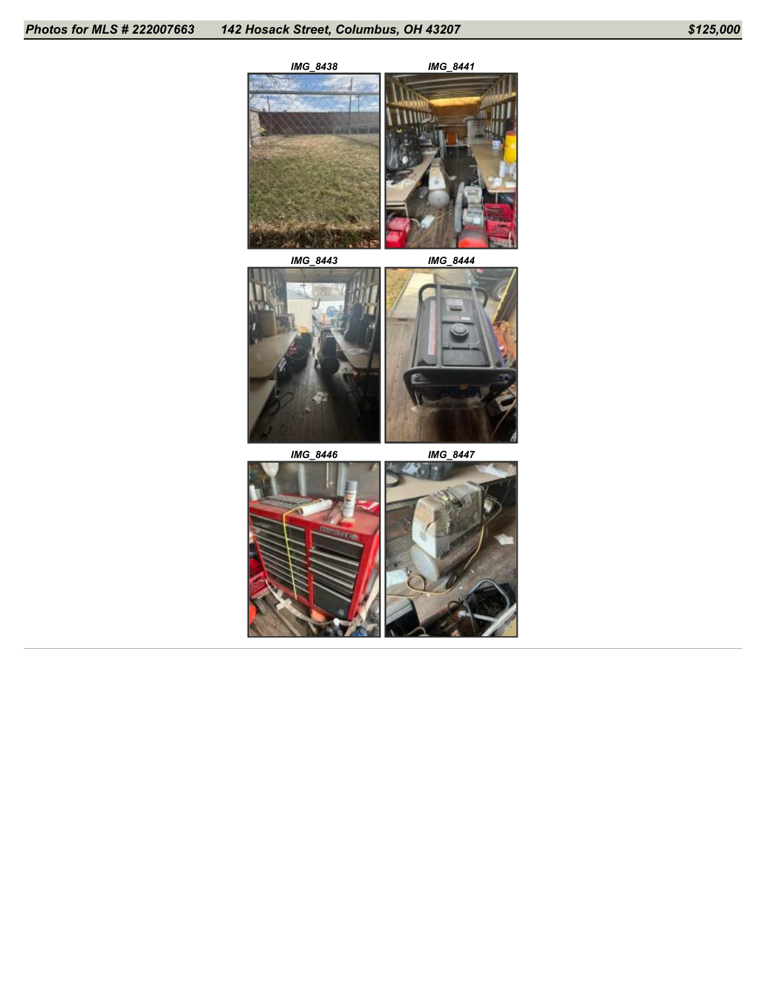





*IMG\_8446 IMG\_8447*



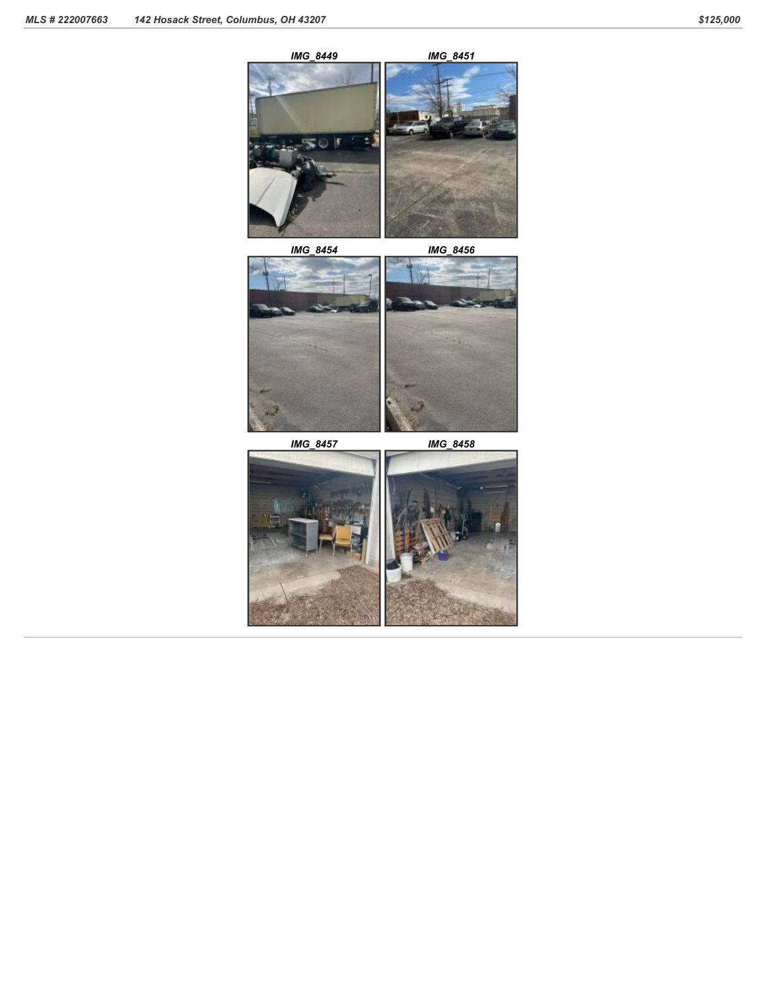

*IMG\_8454 IMG\_8456*



*IMG\_8457 IMG\_8458*

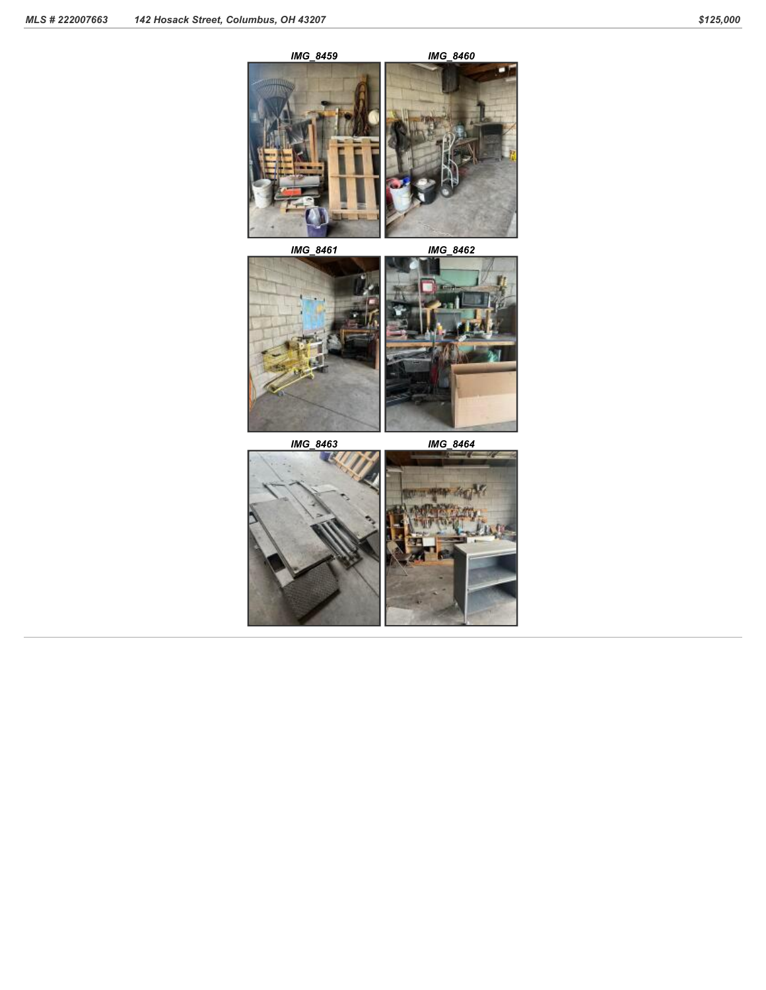*IMG\_8459 IMG\_8460*



*IMG\_8461 IMG\_8462*



*IMG\_8463 IMG\_8464*

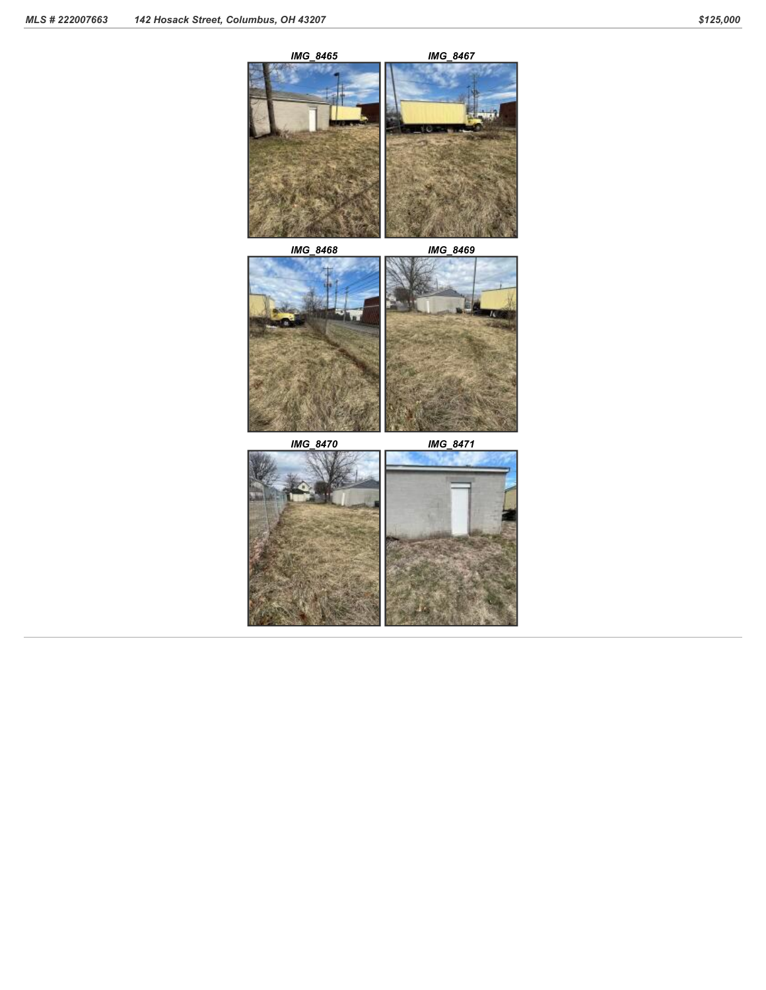





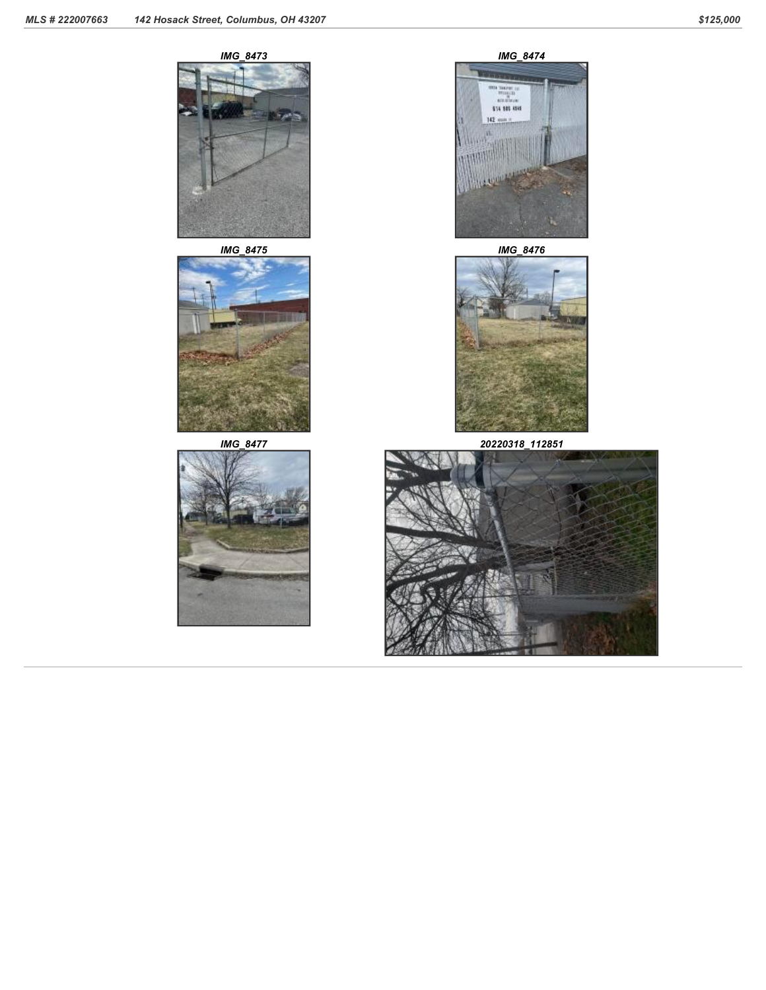



*IMG\_8475 IMG\_8476*









*IMG\_8477 20220318\_112851*